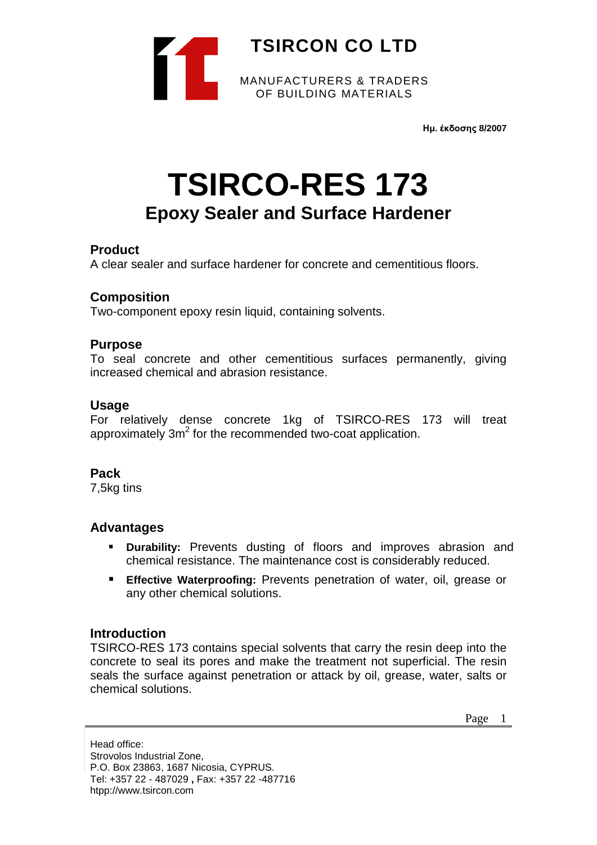

**Ημ. έκδοσης 8/2007**

# **TSIRCO-RES 173 Epoxy Sealer and Surface Hardener**

## **Product**

A clear sealer and surface hardener for concrete and cementitious floors.

## **Composition**

Two-component epoxy resin liquid, containing solvents.

## **Purpose**

To seal concrete and other cementitious surfaces permanently, giving increased chemical and abrasion resistance.

#### **Usage**

For relatively dense concrete 1kg of TSIRCO-RES 173 will treat approximately  $3m^2$  for the recommended two-coat application.

## **Pack**

7,5kg tins

## **Advantages**

- **Durability:** Prevents dusting of floors and improves abrasion and chemical resistance. The maintenance cost is considerably reduced.
- **Effective Waterproofing:** Prevents penetration of water, oil, grease or any other chemical solutions.

## **Introduction**

TSIRCO-RES 173 contains special solvents that carry the resin deep into the concrete to seal its pores and make the treatment not superficial. The resin seals the surface against penetration or attack by oil, grease, water, salts or chemical solutions.

Page 1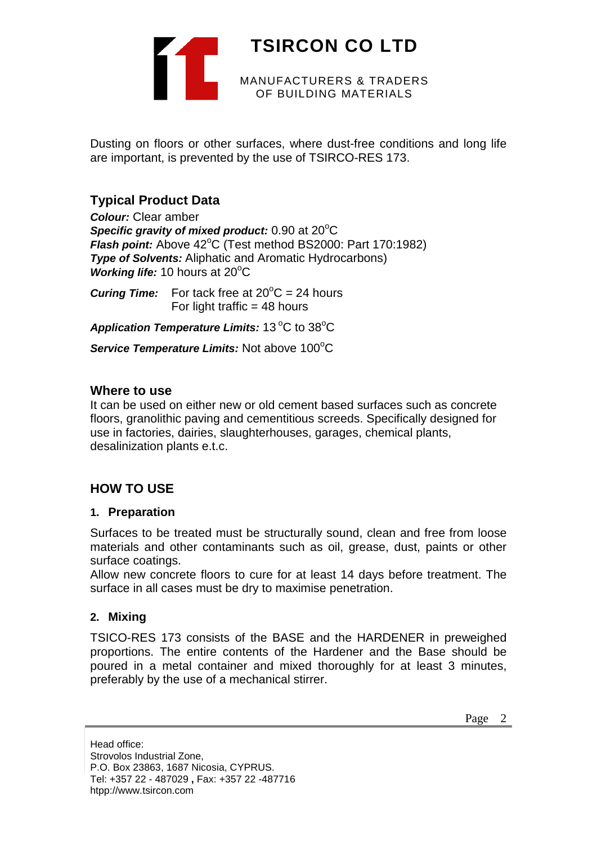

Dusting on floors or other surfaces, where dust-free conditions and long life are important, is prevented by the use of TSIRCO-RES 173.

## **Typical Product Data**

*Colour:* Clear amber Specific gravity of mixed product: 0.90 at 20°C Flash point: Above 42°C (Test method BS2000: Part 170:1982) *Type of Solvents:* Aliphatic and Aromatic Hydrocarbons) **Working life: 10 hours at 20°C** 

**Curing Time:** For tack free at  $20^{\circ}$ C = 24 hours For light traffic  $=$  48 hours

Application Temperature Limits: 13<sup>°</sup>C to 38<sup>°</sup>C

Service Temperature Limits: Not above 100°C

## **Where to use**

It can be used on either new or old cement based surfaces such as concrete floors, granolithic paving and cementitious screeds. Specifically designed for use in factories, dairies, slaughterhouses, garages, chemical plants, desalinization plants e.t.c.

## **HOW TO USE**

## **1. Preparation**

Surfaces to be treated must be structurally sound, clean and free from loose materials and other contaminants such as oil, grease, dust, paints or other surface coatings.

Allow new concrete floors to cure for at least 14 days before treatment. The surface in all cases must be dry to maximise penetration.

## **2. Mixing**

TSICO-RES 173 consists of the BASE and the HARDENER in preweighed proportions. The entire contents of the Hardener and the Base should be poured in a metal container and mixed thoroughly for at least 3 minutes, preferably by the use of a mechanical stirrer.

Page 2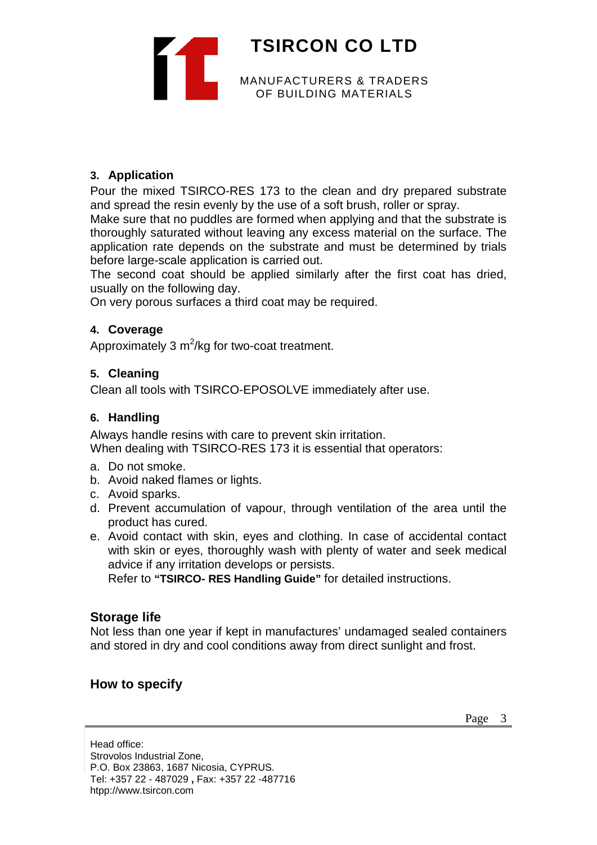

## **3. Application**

Pour the mixed TSIRCO-RES 173 to the clean and dry prepared substrate and spread the resin evenly by the use of a soft brush, roller or spray.

Make sure that no puddles are formed when applying and that the substrate is thoroughly saturated without leaving any excess material on the surface. The application rate depends on the substrate and must be determined by trials before large-scale application is carried out.

The second coat should be applied similarly after the first coat has dried, usually on the following day.

On very porous surfaces a third coat may be required.

## **4. Coverage**

Approximately 3  $m^2$ /kg for two-coat treatment.

## **5. Cleaning**

Clean all tools with TSIRCO-EPOSOLVE immediately after use.

## **6. Handling**

Always handle resins with care to prevent skin irritation. When dealing with TSIRCO-RES 173 it is essential that operators:

- a. Do not smoke.
- b. Avoid naked flames or lights.
- c. Avoid sparks.
- d. Prevent accumulation of vapour, through ventilation of the area until the product has cured.
- e. Avoid contact with skin, eyes and clothing. In case of accidental contact with skin or eyes, thoroughly wash with plenty of water and seek medical advice if any irritation develops or persists.

Refer to **"TSIRCO- RES Handling Guide"** for detailed instructions.

## **Storage life**

Not less than one year if kept in manufactures' undamaged sealed containers and stored in dry and cool conditions away from direct sunlight and frost.

## **How to specify**

Page 3